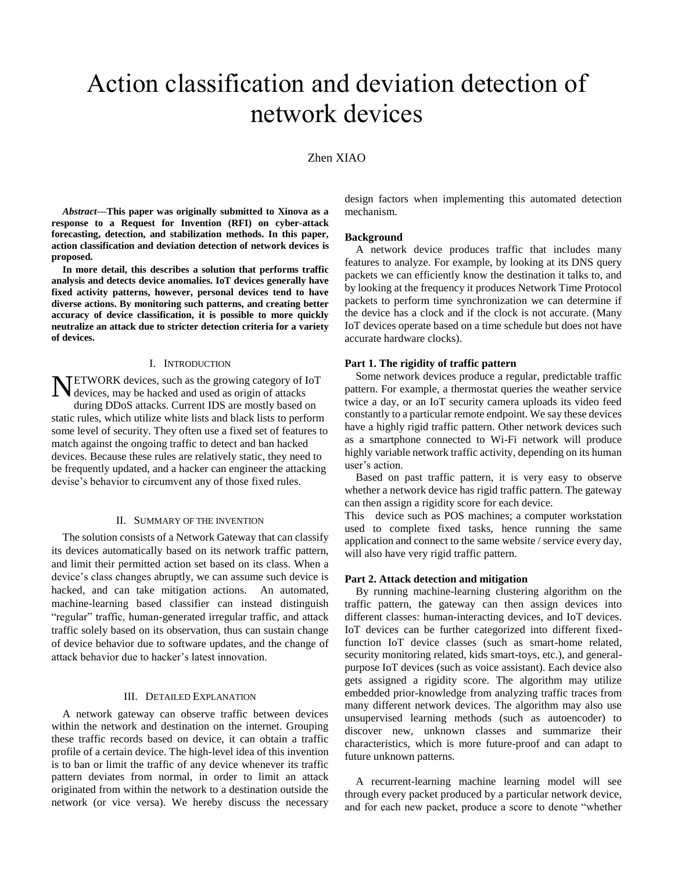# Action classification and deviation detection of network devices

## Zhen XIAO

*Abstract***—This paper was originally submitted to Xinova as a response to a Request for Invention (RFI) on cyber-attack forecasting, detection, and stabilization methods. In this paper, action classification and deviation detection of network devices is proposed.** 

**In more detail, this describes a solution that performs traffic analysis and detects device anomalies. IoT devices generally have fixed activity patterns, however, personal devices tend to have diverse actions. By monitoring such patterns, and creating better accuracy of device classification, it is possible to more quickly neutralize an attack due to stricter detection criteria for a variety of devices.**

#### I. INTRODUCTION

NETWORK devices, such as the growing category of IoT devices, may be hacked and used as origin of attacks devices, may be hacked and used as origin of attacks during DDoS attacks. Current IDS are mostly based on static rules, which utilize white lists and black lists to perform some level of security. They often use a fixed set of features to match against the ongoing traffic to detect and ban hacked devices. Because these rules are relatively static, they need to be frequently updated, and a hacker can engineer the attacking

#### II. SUMMARY OF THE INVENTION

devise's behavior to circumvent any of those fixed rules.

The solution consists of a Network Gateway that can classify its devices automatically based on its network traffic pattern, and limit their permitted action set based on its class. When a device's class changes abruptly, we can assume such device is hacked, and can take mitigation actions. An automated, machine-learning based classifier can instead distinguish "regular" traffic, human-generated irregular traffic, and attack traffic solely based on its observation, thus can sustain change of device behavior due to software updates, and the change of attack behavior due to hacker's latest innovation.

### III. DETAILED EXPLANATION

A network gateway can observe traffic between devices within the network and destination on the internet. Grouping these traffic records based on device, it can obtain a traffic profile of a certain device. The high-level idea of this invention is to ban or limit the traffic of any device whenever its traffic pattern deviates from normal, in order to limit an attack originated from within the network to a destination outside the network (or vice versa). We hereby discuss the necessary

design factors when implementing this automated detection mechanism.

#### **Background**

A network device produces traffic that includes many features to analyze. For example, by looking at its DNS query packets we can efficiently know the destination it talks to, and by looking at the frequency it produces Network Time Protocol packets to perform time synchronization we can determine if the device has a clock and if the clock is not accurate. (Many IoT devices operate based on a time schedule but does not have accurate hardware clocks).

#### **Part 1. The rigidity of traffic pattern**

Some network devices produce a regular, predictable traffic pattern. For example, a thermostat queries the weather service twice a day, or an IoT security camera uploads its video feed constantly to a particular remote endpoint. We say these devices have a highly rigid traffic pattern. Other network devices such as a smartphone connected to Wi-Fi network will produce highly variable network traffic activity, depending on its human user's action.

Based on past traffic pattern, it is very easy to observe whether a network device has rigid traffic pattern. The gateway can then assign a rigidity score for each device.

This device such as POS machines; a computer workstation used to complete fixed tasks, hence running the same application and connect to the same website / service every day, will also have very rigid traffic pattern.

#### **Part 2. Attack detection and mitigation**

By running machine-learning clustering algorithm on the traffic pattern, the gateway can then assign devices into different classes: human-interacting devices, and IoT devices. IoT devices can be further categorized into different fixedfunction IoT device classes (such as smart-home related, security monitoring related, kids smart-toys, etc.), and generalpurpose IoT devices (such as voice assistant). Each device also gets assigned a rigidity score. The algorithm may utilize embedded prior-knowledge from analyzing traffic traces from many different network devices. The algorithm may also use unsupervised learning methods (such as autoencoder) to discover new, unknown classes and summarize their characteristics, which is more future-proof and can adapt to future unknown patterns.

A recurrent-learning machine learning model will see through every packet produced by a particular network device, and for each new packet, produce a score to denote "whether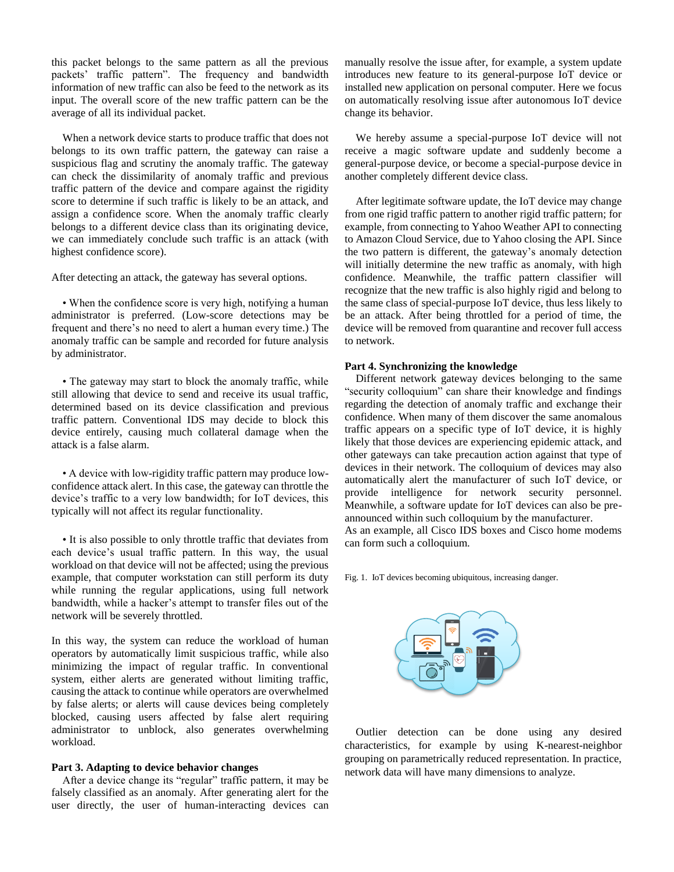this packet belongs to the same pattern as all the previous packets' traffic pattern". The frequency and bandwidth information of new traffic can also be feed to the network as its input. The overall score of the new traffic pattern can be the average of all its individual packet.

When a network device starts to produce traffic that does not belongs to its own traffic pattern, the gateway can raise a suspicious flag and scrutiny the anomaly traffic. The gateway can check the dissimilarity of anomaly traffic and previous traffic pattern of the device and compare against the rigidity score to determine if such traffic is likely to be an attack, and assign a confidence score. When the anomaly traffic clearly belongs to a different device class than its originating device, we can immediately conclude such traffic is an attack (with highest confidence score).

After detecting an attack, the gateway has several options.

• When the confidence score is very high, notifying a human administrator is preferred. (Low-score detections may be frequent and there's no need to alert a human every time.) The anomaly traffic can be sample and recorded for future analysis by administrator.

• The gateway may start to block the anomaly traffic, while still allowing that device to send and receive its usual traffic, determined based on its device classification and previous traffic pattern. Conventional IDS may decide to block this device entirely, causing much collateral damage when the attack is a false alarm.

• A device with low-rigidity traffic pattern may produce lowconfidence attack alert. In this case, the gateway can throttle the device's traffic to a very low bandwidth; for IoT devices, this typically will not affect its regular functionality.

• It is also possible to only throttle traffic that deviates from each device's usual traffic pattern. In this way, the usual workload on that device will not be affected; using the previous example, that computer workstation can still perform its duty while running the regular applications, using full network bandwidth, while a hacker's attempt to transfer files out of the network will be severely throttled.

In this way, the system can reduce the workload of human operators by automatically limit suspicious traffic, while also minimizing the impact of regular traffic. In conventional system, either alerts are generated without limiting traffic, causing the attack to continue while operators are overwhelmed by false alerts; or alerts will cause devices being completely blocked, causing users affected by false alert requiring administrator to unblock, also generates overwhelming workload.

## **Part 3. Adapting to device behavior changes**

After a device change its "regular" traffic pattern, it may be falsely classified as an anomaly. After generating alert for the user directly, the user of human-interacting devices can manually resolve the issue after, for example, a system update introduces new feature to its general-purpose IoT device or installed new application on personal computer. Here we focus on automatically resolving issue after autonomous IoT device change its behavior.

We hereby assume a special-purpose IoT device will not receive a magic software update and suddenly become a general-purpose device, or become a special-purpose device in another completely different device class.

After legitimate software update, the IoT device may change from one rigid traffic pattern to another rigid traffic pattern; for example, from connecting to Yahoo Weather API to connecting to Amazon Cloud Service, due to Yahoo closing the API. Since the two pattern is different, the gateway's anomaly detection will initially determine the new traffic as anomaly, with high confidence. Meanwhile, the traffic pattern classifier will recognize that the new traffic is also highly rigid and belong to the same class of special-purpose IoT device, thus less likely to be an attack. After being throttled for a period of time, the device will be removed from quarantine and recover full access to network.

#### **Part 4. Synchronizing the knowledge**

Different network gateway devices belonging to the same "security colloquium" can share their knowledge and findings regarding the detection of anomaly traffic and exchange their confidence. When many of them discover the same anomalous traffic appears on a specific type of IoT device, it is highly likely that those devices are experiencing epidemic attack, and other gateways can take precaution action against that type of devices in their network. The colloquium of devices may also automatically alert the manufacturer of such IoT device, or provide intelligence for network security personnel. Meanwhile, a software update for IoT devices can also be preannounced within such colloquium by the manufacturer.

As an example, all Cisco IDS boxes and Cisco home modems can form such a colloquium.

Fig. 1. IoT devices becoming ubiquitous, increasing danger.



Outlier detection can be done using any desired characteristics, for example by using K-nearest-neighbor grouping on parametrically reduced representation. In practice, network data will have many dimensions to analyze.